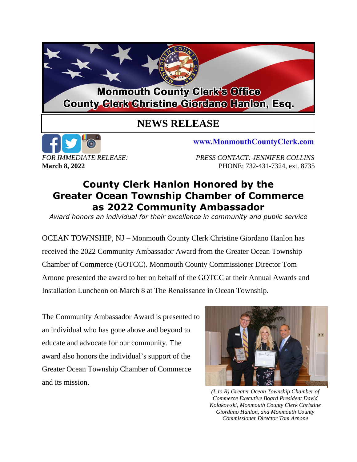## **Monmouth County Clerk's Office County Glerk Christine Giordano Hanlon, Esq.**

## **NEWS RELEASE**



www.MonmouthCountyClerk.com

*FOR IMMEDIATE RELEASE: PRESS CONTACT: JENNIFER COLLINS* **March 8, 2022** PHONE: 732-431-7324, ext. 8735

## **County Clerk Hanlon Honored by the Greater Ocean Township Chamber of Commerce as 2022 Community Ambassador**

*Award honors an individual for their excellence in community and public service*

OCEAN TOWNSHIP, NJ – Monmouth County Clerk Christine Giordano Hanlon has received the 2022 Community Ambassador Award from the Greater Ocean Township Chamber of Commerce (GOTCC). Monmouth County Commissioner Director Tom Arnone presented the award to her on behalf of the GOTCC at their Annual Awards and Installation Luncheon on March 8 at The Renaissance in Ocean Township.

The Community Ambassador Award is presented to an individual who has gone above and beyond to educate and advocate for our community. The award also honors the individual's support of the Greater Ocean Township Chamber of Commerce and its mission.



*(L to R) Greater Ocean Township Chamber of Commerce Executive Board President David Kolakowski, Monmouth County Clerk Christine Giordano Hanlon, and Monmouth County Commissioner Director Tom Arnone*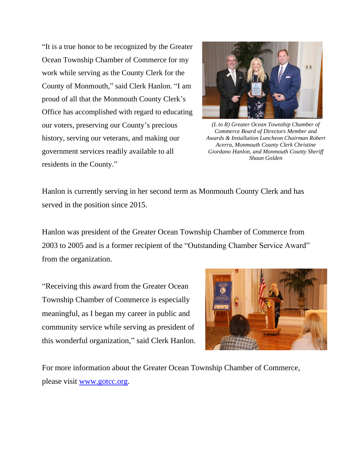"It is a true honor to be recognized by the Greater Ocean Township Chamber of Commerce for my work while serving as the County Clerk for the County of Monmouth," said Clerk Hanlon. "I am proud of all that the Monmouth County Clerk's Office has accomplished with regard to educating our voters, preserving our County's precious history, serving our veterans, and making our government services readily available to all residents in the County."



*(L to R) Greater Ocean Township Chamber of Commerce Board of Directors Member and Awards & Installation Luncheon Chairman Robert Acerra, Monmouth County Clerk Christine Giordano Hanlon, and Monmouth County Sheriff Shaun Golden*

Hanlon is currently serving in her second term as Monmouth County Clerk and has served in the position since 2015.

Hanlon was president of the Greater Ocean Township Chamber of Commerce from 2003 to 2005 and is a former recipient of the "Outstanding Chamber Service Award" from the organization.

"Receiving this award from the Greater Ocean Township Chamber of Commerce is especially meaningful, as I began my career in public and community service while serving as president of this wonderful organization," said Clerk Hanlon.



For more information about the Greater Ocean Township Chamber of Commerce, please visit [www.gotcc.org.](http://www.gotcc.org/)